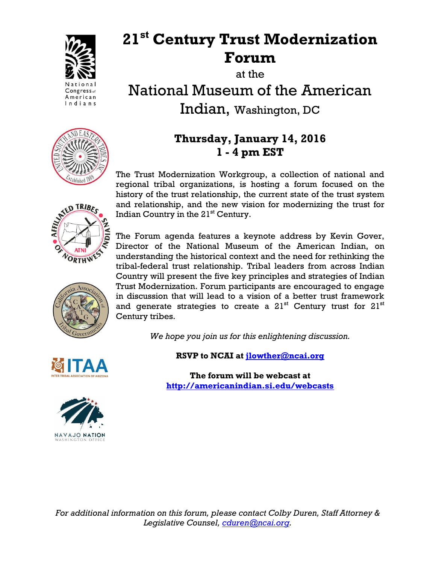

## **21st Century Trust Modernization Forum**

at the

National Museum of the American Indian, Washington, DC

## **Thursday, January 14, 2016 1 - 4 pm EST**

The Trust Modernization Workgroup, a collection of national and regional tribal organizations, is hosting a forum focused on the history of the trust relationship, the current state of the trust system and relationship, and the new vision for modernizing the trust for Indian Country in the  $21<sup>st</sup>$  Century.

The Forum agenda features a keynote address by Kevin Gover, Director of the National Museum of the American Indian, on understanding the historical context and the need for rethinking the tribal-federal trust relationship. Tribal leaders from across Indian Country will present the five key principles and strategies of Indian Trust Modernization. Forum participants are encouraged to engage in discussion that will lead to a vision of a better trust framework and generate strategies to create a  $21<sup>st</sup>$  Century trust for  $21<sup>st</sup>$ Century tribes.

*We hope you join us for this enlightening discussion.*





**RSVP to NCAI at [jlowther@ncai.org](mailto:jlowther@ncai.org)**

**The forum will be webcast at <http://americanindian.si.edu/webcasts>**